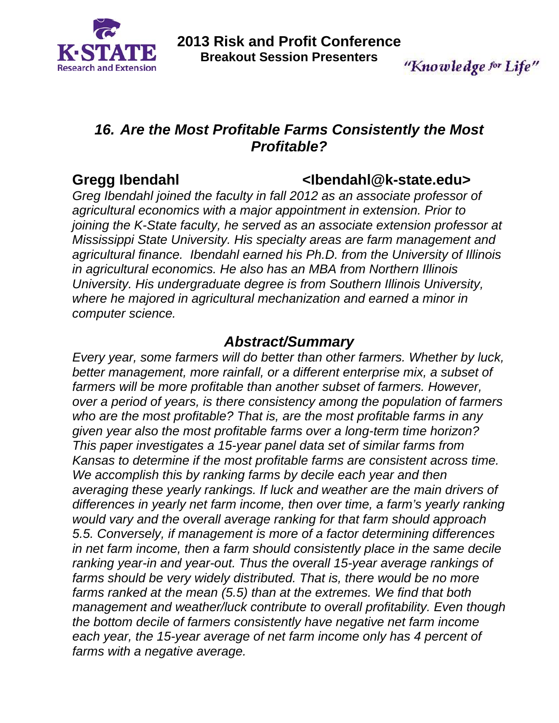

"Knowledge for Life"

## *16. Are the Most Profitable Farms Consistently the Most Profitable?*

#### **Gregg Ibendahl <Ibendahl@k-state.edu>**

*Greg Ibendahl joined the faculty in fall 2012 as an associate professor of agricultural economics with a major appointment in extension. Prior to joining the K-State faculty, he served as an associate extension professor at Mississippi State University. His specialty areas are farm management and agricultural finance. Ibendahl earned his Ph.D. from the University of Illinois in agricultural economics. He also has an MBA from Northern Illinois University. His undergraduate degree is from Southern Illinois University, where he majored in agricultural mechanization and earned a minor in computer science.* 

### *Abstract/Summary*

*Every year, some farmers will do better than other farmers. Whether by luck, better management, more rainfall, or a different enterprise mix, a subset of*  farmers will be more profitable than another subset of farmers. However, *over a period of years, is there consistency among the population of farmers who are the most profitable? That is, are the most profitable farms in any given year also the most profitable farms over a long-term time horizon? This paper investigates a 15-year panel data set of similar farms from Kansas to determine if the most profitable farms are consistent across time. We accomplish this by ranking farms by decile each year and then averaging these yearly rankings. If luck and weather are the main drivers of differences in yearly net farm income, then over time, a farm's yearly ranking would vary and the overall average ranking for that farm should approach 5.5. Conversely, if management is more of a factor determining differences in net farm income, then a farm should consistently place in the same decile ranking year-in and year-out. Thus the overall 15-year average rankings of*  farms should be very widely distributed. That is, there would be no more *farms ranked at the mean (5.5) than at the extremes. We find that both management and weather/luck contribute to overall profitability. Even though the bottom decile of farmers consistently have negative net farm income*  each year, the 15-year average of net farm income only has 4 percent of *farms with a negative average.*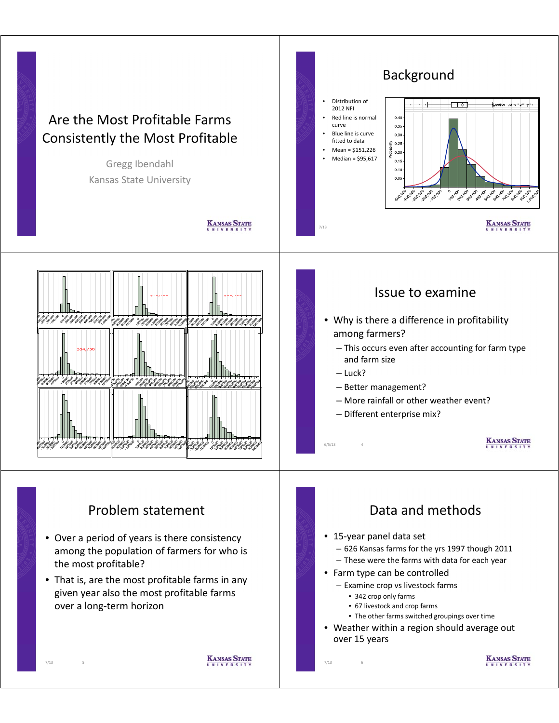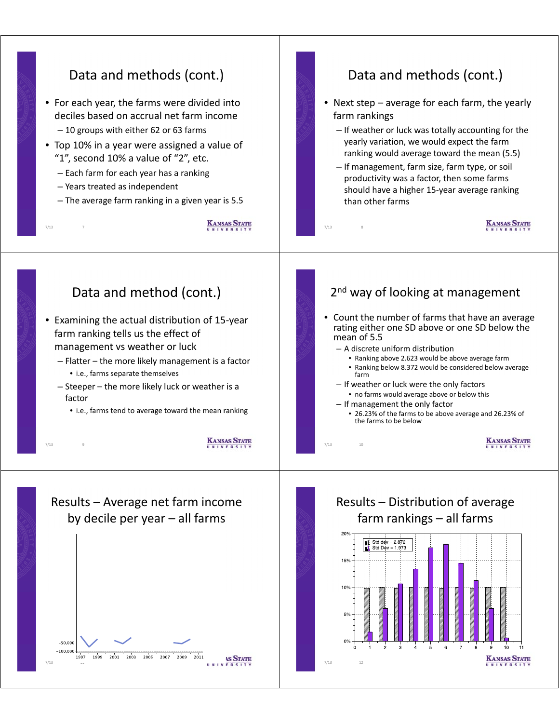#### Data and methods (cont.) Data and methods (cont.) • For each year, the farms were divided into • Next step – average for each farm, the yearly deciles based on accrual net farm income farm rankings  $-10$  groups with either 62 or 63 farms  $-$  If weather or luck was totally accounting for the yearly variation, we would expect the farm • Top 10% in a year were assigned a value of ranking would average toward the mean (5.5) "1", second 10% a value of "2", etc. – If management, farm size, farm type, or soil – Each farm for each year has a ranking productivity was a factor, then some farms – Years treated as independent should have a higher 15-year average ranking – The average farm ranking in a given year is 5.5 than other farms **KANSAS STATE KANSAS STATE** 7/13 7 7/13 8 Data and method (cont.)  $2<sup>nd</sup>$  way of looking at management • Count the number of farms that have an average • Examining the actual distribution of 15-year rating either one SD above or one SD below the farm ranking tells us the effect of mean of 5.5 management vs weather or luck  $-$  A discrete uniform distribution • Ranking above 2.623 would be above average farm – Flatter – the more likely management is a factor • Ranking below 8.372 would be considered below average • i.e., farms separate themselves farm – Steeper – the more likely luck or weather is a – If weather or luck were the only factors • no farms would average above or below this factor – If management the only factor • i.e., farms tend to average toward the mean ranking • 26.23% of the farms to be above average and 26.23% of the farms to be below **KANSAS STATE KANSAS STATE**  $7/13$ 7/13 10 Results – Distribution of average Results – Average net farm income  $farm$  rankings – all farms by decile per year  $-$  all farms 20% Std dev =  $2.872$ Std Dev = 1 973 15%  $10%$  $-50.000$  $-100.000$ 1997 1999 2001 2003 2005  $\frac{1}{2007}$   $\frac{1}{2009}$  $\frac{1}{2011}$ **KANSAS STATE AS STATE**  $7/13$ 7/13 11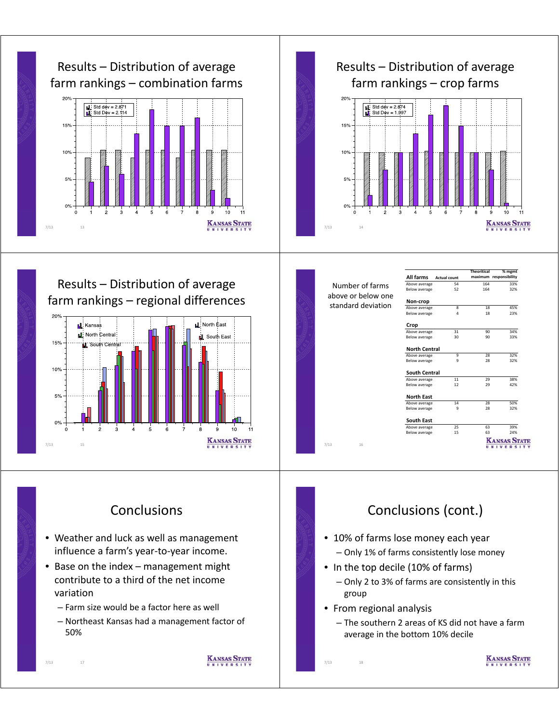



Results – Distribution of average  $f$ arm rankings – regional differences



|                    | All farms            | <b>Actual count</b> | <b>Theoritical</b> | % mgmt<br>maximum responsibility |  |
|--------------------|----------------------|---------------------|--------------------|----------------------------------|--|
| Number of farms    | Above average        | 54                  | 164                | 33%                              |  |
| above or below one | Below average        | 52                  | 164                | 32%                              |  |
| standard deviation | Non-crop             |                     |                    |                                  |  |
|                    | Above average        | 8                   | 18                 | 45%                              |  |
|                    | Below average        | $\overline{4}$      | 18                 | 23%                              |  |
|                    | Crop                 |                     |                    |                                  |  |
|                    | Above average        | 31                  | 90                 | 34%                              |  |
|                    | <b>Below average</b> | 30                  | 90                 | 33%                              |  |
|                    | <b>North Central</b> |                     |                    |                                  |  |
|                    | Above average        | 9                   | 28                 | 32%                              |  |
|                    | <b>Below average</b> | 9                   | 28                 | 32%                              |  |
|                    | South Central        |                     |                    |                                  |  |
|                    | Above average        | 11                  | 29                 | 38%                              |  |
|                    | <b>Below average</b> | 12                  | 29                 | 42%                              |  |
|                    | <b>North East</b>    |                     |                    |                                  |  |
|                    | Above average        | 14                  | $\overline{28}$    | 50%                              |  |
|                    | Below average        | 9                   | 28                 | 32%                              |  |
|                    | South East           |                     |                    |                                  |  |
|                    | Above average        | 25                  | 63                 | 39%                              |  |
|                    | <b>Below average</b> | 15                  | 63                 | 24%                              |  |
| 7/13<br>16         |                      |                     |                    | <b>KANSAS ST.</b><br>UNIVERSI    |  |

# **Conclusions**

- Weather and luck as well as management influence a farm's year-to-year income.
- $\bullet$  Base on the index management might contribute to a third of the net income variation
	- Farm size would be a factor here as well

7/13 17

 $-$  Northeast Kansas had a management factor of 50%

**KANSAS STATE** 

# Conclusions (cont.)

- 10% of farms lose money each year – Only 1% of farms consistently lose money
- In the top decile (10% of farms)
	- Only 2 to 3% of farms are consistently in this group
- From regional analysis

7/13 18

– The southern 2 areas of KS did not have a farm average in the bottom 10% decile

**KANSAS STATE**